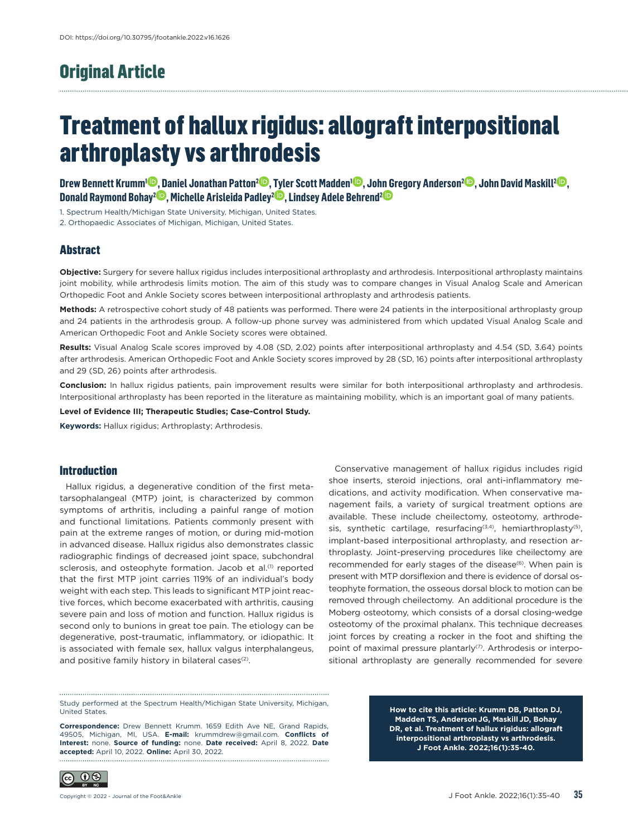# Original Article

# Treatment of hallux rigidus: allograft interpositional arthroplasty vs arthrodesis

**[Drew Bennett Krumm1](https://orcid.org/0000-0003-2930-5521) , [Daniel Jonathan Patton2](https://orcid.org/0000-0002-1138-4332) , [Tyler Scott Madden1](https://orcid.org/0000-0002-2241-4250) , [John Gregory Anderson2](https://orcid.org/0000-0001-7877-9972) , [John David Maskill2](https://orcid.org/0000-0002-7221-3342) , [Donald Raymond Bohay2](https://orcid.org/0000-0001-6273-4833) , [Michelle Arisleida Padley2](https://orcid.org/0000-0001-5776-4202) , [Lindsey Adele Behrend2](https://orcid.org/0000-0003-3082-0491)**

1. Spectrum Health/Michigan State University, Michigan, United States.

2. Orthopaedic Associates of Michigan, Michigan, United States.

## **Abstract**

**Objective:** Surgery for severe hallux rigidus includes interpositional arthroplasty and arthrodesis. Interpositional arthroplasty maintains joint mobility, while arthrodesis limits motion. The aim of this study was to compare changes in Visual Analog Scale and American Orthopedic Foot and Ankle Society scores between interpositional arthroplasty and arthrodesis patients.

**Methods:** A retrospective cohort study of 48 patients was performed. There were 24 patients in the interpositional arthroplasty group and 24 patients in the arthrodesis group. A follow-up phone survey was administered from which updated Visual Analog Scale and American Orthopedic Foot and Ankle Society scores were obtained.

**Results:** Visual Analog Scale scores improved by 4.08 (SD, 2.02) points after interpositional arthroplasty and 4.54 (SD, 3.64) points after arthrodesis. American Orthopedic Foot and Ankle Society scores improved by 28 (SD, 16) points after interpositional arthroplasty and 29 (SD, 26) points after arthrodesis.

**Conclusion:** In hallux rigidus patients, pain improvement results were similar for both interpositional arthroplasty and arthrodesis. Interpositional arthroplasty has been reported in the literature as maintaining mobility, which is an important goal of many patients.

**Level of Evidence III; Therapeutic Studies; Case-Control Study.**

**Keywords:** Hallux rigidus; Arthroplasty; Arthrodesis.

#### **Introduction**

Hallux rigidus, a degenerative condition of the first metatarsophalangeal (MTP) joint, is characterized by common symptoms of arthritis, including a painful range of motion and functional limitations. Patients commonly present with pain at the extreme ranges of motion, or during mid-motion in advanced disease. Hallux rigidus also demonstrates classic radiographic findings of decreased joint space, subchondral sclerosis, and osteophyte formation. Jacob et al.<sup>(1)</sup> reported that the first MTP joint carries 119% of an individual's body weight with each step. This leads to significant MTP joint reactive forces, which become exacerbated with arthritis, causing severe pain and loss of motion and function. Hallux rigidus is second only to bunions in great toe pain. The etiology can be degenerative, post-traumatic, inflammatory, or idiopathic. It is associated with female sex, hallux valgus interphalangeus, and positive family history in bilateral cases<sup>(2)</sup>.

Conservative management of hallux rigidus includes rigid shoe inserts, steroid injections, oral anti-inflammatory medications, and activity modification. When conservative management fails, a variety of surgical treatment options are available. These include cheilectomy, osteotomy, arthrodesis, synthetic cartilage, resurfacing<sup>(3,4)</sup>, hemiarthroplasty<sup>(5)</sup>, implant-based interpositional arthroplasty, and resection arthroplasty. Joint-preserving procedures like cheilectomy are recommended for early stages of the disease<sup>(6)</sup>. When pain is present with MTP dorsiflexion and there is evidence of dorsal osteophyte formation, the osseous dorsal block to motion can be removed through cheilectomy. An additional procedure is the Moberg osteotomy, which consists of a dorsal closing-wedge osteotomy of the proximal phalanx. This technique decreases joint forces by creating a rocker in the foot and shifting the point of maximal pressure plantarly<sup>(7)</sup>. Arthrodesis or interpositional arthroplasty are generally recommended for severe

Study performed at the Spectrum Health/Michigan State University, Michigan, United States.

**Correspondence:** Drew Bennett Krumm. 1659 Edith Ave NE, Grand Rapids, 49505, Michigan, MI, USA. **E-mail:** krummdrew@gmail.com. **Conflicts of Interest:** none. **Source of funding:** none. **Date received:** April 8, 2022. **Date accepted:** April 10, 2022. **Online:** April 30, 2022.

**How to cite this article: Krumm DB, Patton DJ, Madden TS, Anderson JG, Maskill JD, Bohay DR, et al. Treatment of hallux rigidus: allograft interpositional arthroplasty vs arthrodesis. J Foot Ankle. 2022;16(1):35-40.**

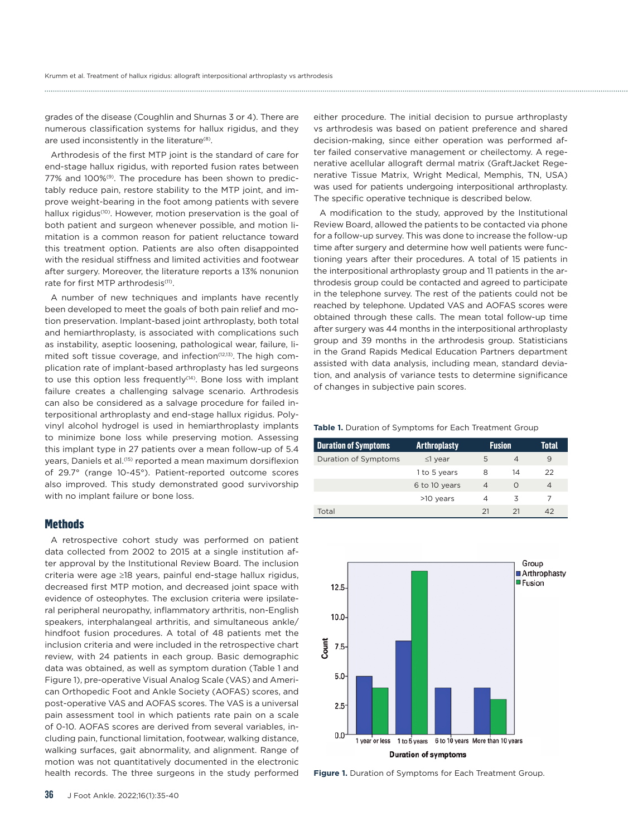grades of the disease (Coughlin and Shurnas 3 or 4). There are numerous classification systems for hallux rigidus, and they are used inconsistently in the literature<sup>(8)</sup>.

Arthrodesis of the first MTP joint is the standard of care for end-stage hallux rigidus, with reported fusion rates between 77% and 100%<sup>(9)</sup>. The procedure has been shown to predictably reduce pain, restore stability to the MTP joint, and improve weight-bearing in the foot among patients with severe hallux rigidus<sup>(10)</sup>. However, motion preservation is the goal of both patient and surgeon whenever possible, and motion limitation is a common reason for patient reluctance toward this treatment option. Patients are also often disappointed with the residual stiffness and limited activities and footwear after surgery. Moreover, the literature reports a 13% nonunion rate for first MTP arthrodesis<sup>(11)</sup>.

A number of new techniques and implants have recently been developed to meet the goals of both pain relief and motion preservation. Implant-based joint arthroplasty, both total and hemiarthroplasty, is associated with complications such as instability, aseptic loosening, pathological wear, failure, limited soft tissue coverage, and infection<sup>(12,13)</sup>. The high complication rate of implant-based arthroplasty has led surgeons to use this option less frequently<sup>(14)</sup>. Bone loss with implant failure creates a challenging salvage scenario. Arthrodesis can also be considered as a salvage procedure for failed interpositional arthroplasty and end-stage hallux rigidus. Polyvinyl alcohol hydrogel is used in hemiarthroplasty implants to minimize bone loss while preserving motion. Assessing this implant type in 27 patients over a mean follow-up of 5.4 years, Daniels et al.<sup>(15)</sup> reported a mean maximum dorsiflexion of 29.7° (range 10-45°). Patient-reported outcome scores also improved. This study demonstrated good survivorship with no implant failure or bone loss.

#### **Methods**

A retrospective cohort study was performed on patient data collected from 2002 to 2015 at a single institution after approval by the Institutional Review Board. The inclusion criteria were age ≥18 years, painful end-stage hallux rigidus, decreased first MTP motion, and decreased joint space with evidence of osteophytes. The exclusion criteria were ipsilateral peripheral neuropathy, inflammatory arthritis, non-English speakers, interphalangeal arthritis, and simultaneous ankle/ hindfoot fusion procedures. A total of 48 patients met the inclusion criteria and were included in the retrospective chart review, with 24 patients in each group. Basic demographic data was obtained, as well as symptom duration (Table 1 and Figure 1), pre-operative Visual Analog Scale (VAS) and American Orthopedic Foot and Ankle Society (AOFAS) scores, and post-operative VAS and AOFAS scores. The VAS is a universal pain assessment tool in which patients rate pain on a scale of 0-10. AOFAS scores are derived from several variables, including pain, functional limitation, footwear, walking distance, walking surfaces, gait abnormality, and alignment. Range of motion was not quantitatively documented in the electronic health records. The three surgeons in the study performed

either procedure. The initial decision to pursue arthroplasty vs arthrodesis was based on patient preference and shared decision-making, since either operation was performed after failed conservative management or cheilectomy. A regenerative acellular allograft dermal matrix (GraftJacket Regenerative Tissue Matrix, Wright Medical, Memphis, TN, USA) was used for patients undergoing interpositional arthroplasty. The specific operative technique is described below.

A modification to the study, approved by the Institutional Review Board, allowed the patients to be contacted via phone for a follow-up survey. This was done to increase the follow-up time after surgery and determine how well patients were functioning years after their procedures. A total of 15 patients in the interpositional arthroplasty group and 11 patients in the arthrodesis group could be contacted and agreed to participate in the telephone survey. The rest of the patients could not be reached by telephone. Updated VAS and AOFAS scores were obtained through these calls. The mean total follow-up time after surgery was 44 months in the interpositional arthroplasty group and 39 months in the arthrodesis group. Statisticians in the Grand Rapids Medical Education Partners department assisted with data analysis, including mean, standard deviation, and analysis of variance tests to determine significance of changes in subjective pain scores.

#### **Table 1.** Duration of Symptoms for Each Treatment Group

| <b>Duration of Symptoms</b> | <b>Arthroplasty</b> | <b>Fusion</b>  |    | Total          |
|-----------------------------|---------------------|----------------|----|----------------|
| Duration of Symptoms        | $\leq$ 1 year       | 5              | 4  | 9              |
|                             | 1 to 5 years        | 8              | 14 | 22             |
|                             | 6 to 10 years       | $\overline{4}$ | O  | $\overline{4}$ |
|                             | >10 years           | Δ              | 3  | 7              |
| Total                       |                     | 21             | 21 | 42             |



**Figure 1.** Duration of Symptoms for Each Treatment Group.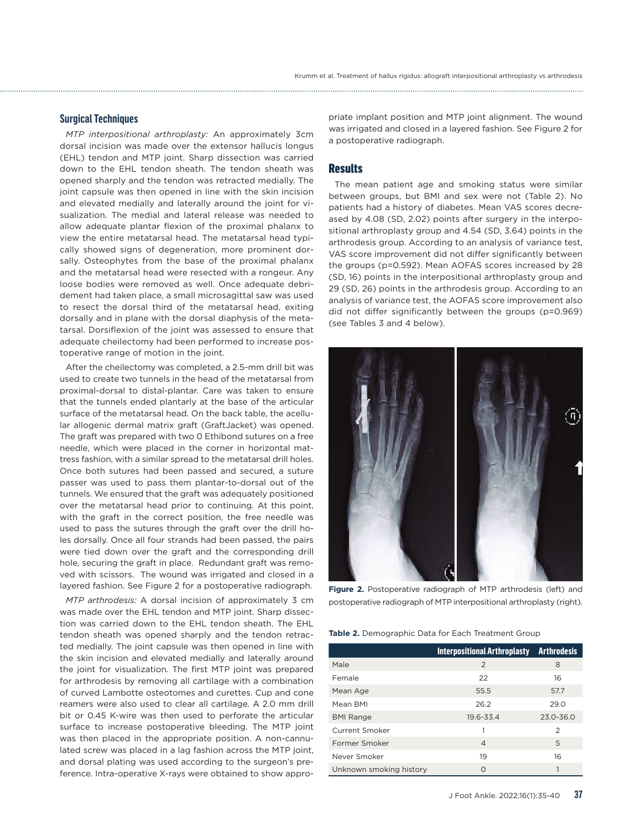#### **Surgical Techniques**

*MTP interpositional arthroplasty:* An approximately 3cm dorsal incision was made over the extensor hallucis longus (EHL) tendon and MTP joint. Sharp dissection was carried down to the EHL tendon sheath. The tendon sheath was opened sharply and the tendon was retracted medially. The joint capsule was then opened in line with the skin incision and elevated medially and laterally around the joint for visualization. The medial and lateral release was needed to allow adequate plantar flexion of the proximal phalanx to view the entire metatarsal head. The metatarsal head typically showed signs of degeneration, more prominent dorsally. Osteophytes from the base of the proximal phalanx and the metatarsal head were resected with a rongeur. Any loose bodies were removed as well. Once adequate debridement had taken place, a small microsagittal saw was used to resect the dorsal third of the metatarsal head, exiting dorsally and in plane with the dorsal diaphysis of the metatarsal. Dorsiflexion of the joint was assessed to ensure that adequate cheilectomy had been performed to increase postoperative range of motion in the joint.

After the cheilectomy was completed, a 2.5-mm drill bit was used to create two tunnels in the head of the metatarsal from proximal-dorsal to distal-plantar. Care was taken to ensure that the tunnels ended plantarly at the base of the articular surface of the metatarsal head. On the back table, the acellular allogenic dermal matrix graft (GraftJacket) was opened. The graft was prepared with two 0 Ethibond sutures on a free needle, which were placed in the corner in horizontal mattress fashion, with a similar spread to the metatarsal drill holes. Once both sutures had been passed and secured, a suture passer was used to pass them plantar-to-dorsal out of the tunnels. We ensured that the graft was adequately positioned over the metatarsal head prior to continuing. At this point, with the graft in the correct position, the free needle was used to pass the sutures through the graft over the drill holes dorsally. Once all four strands had been passed, the pairs were tied down over the graft and the corresponding drill hole, securing the graft in place. Redundant graft was removed with scissors. The wound was irrigated and closed in a layered fashion. See Figure 2 for a postoperative radiograph.

*MTP arthrodesis:* A dorsal incision of approximately 3 cm was made over the EHL tendon and MTP joint. Sharp dissection was carried down to the EHL tendon sheath. The EHL tendon sheath was opened sharply and the tendon retracted medially. The joint capsule was then opened in line with the skin incision and elevated medially and laterally around the joint for visualization. The first MTP joint was prepared for arthrodesis by removing all cartilage with a combination of curved Lambotte osteotomes and curettes. Cup and cone reamers were also used to clear all cartilage. A 2.0 mm drill bit or 0.45 K-wire was then used to perforate the articular surface to increase postoperative bleeding. The MTP joint was then placed in the appropriate position. A non-cannulated screw was placed in a lag fashion across the MTP joint, and dorsal plating was used according to the surgeon's preference. Intra-operative X-rays were obtained to show appropriate implant position and MTP joint alignment. The wound was irrigated and closed in a layered fashion. See Figure 2 for a postoperative radiograph.

#### **Results**

The mean patient age and smoking status were similar between groups, but BMI and sex were not (Table 2). No patients had a history of diabetes. Mean VAS scores decreased by 4.08 (SD, 2.02) points after surgery in the interpositional arthroplasty group and 4.54 (SD, 3.64) points in the arthrodesis group. According to an analysis of variance test, VAS score improvement did not differ significantly between the groups (p=0.592). Mean AOFAS scores increased by 28 (SD, 16) points in the interpositional arthroplasty group and 29 (SD, 26) points in the arthrodesis group. According to an analysis of variance test, the AOFAS score improvement also did not differ significantly between the groups (p=0.969) (see Tables 3 and 4 below).



**Figure 2.** Postoperative radiograph of MTP arthrodesis (left) and postoperative radiograph of MTP interpositional arthroplasty (right).

| Table 2. Demographic Data for Each Treatment Group |  |  |  |  |
|----------------------------------------------------|--|--|--|--|
|----------------------------------------------------|--|--|--|--|

|                         | Interpositional Arthroplasty Arthrodesis |               |
|-------------------------|------------------------------------------|---------------|
| Male                    | $\mathcal{P}$                            | 8             |
| Female                  | 22                                       | 16            |
| Mean Age                | 55.5                                     | 57.7          |
| Mean BMI                | 26.2                                     | 29.0          |
| <b>BMI Range</b>        | 19.6-33.4                                | $23.0 - 36.0$ |
| Current Smoker          | 1                                        | 2             |
| Former Smoker           | $\overline{4}$                           | 5             |
| Never Smoker            | 19                                       | 16            |
| Unknown smoking history | Ω                                        |               |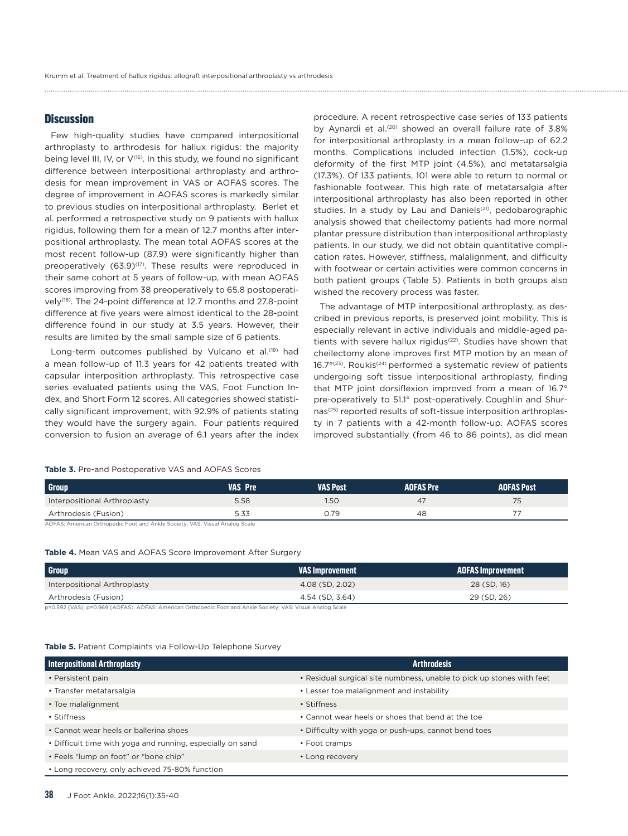#### **Discussion**

Few high-quality studies have compared interpositional arthroplasty to arthrodesis for hallux rigidus: the majority being level III, IV, or  $V^{(16)}$ . In this study, we found no significant difference between interpositional arthroplasty and arthrodesis for mean improvement in VAS or AOFAS scores. The degree of improvement in AOFAS scores is markedly similar to previous studies on interpositional arthroplasty. Berlet et al. performed a retrospective study on 9 patients with hallux rigidus, following them for a mean of 12.7 months after interpositional arthroplasty. The mean total AOFAS scores at the most recent follow-up (87.9) were significantly higher than preoperatively (63.9)<sup>(17)</sup>. These results were reproduced in their same cohort at 5 years of follow-up, with mean AOFAS scores improving from 38 preoperatively to 65.8 postoperatively(18). The 24-point difference at 12.7 months and 27.8-point difference at five years were almost identical to the 28-point difference found in our study at 3.5 years. However, their results are limited by the small sample size of 6 patients.

Long-term outcomes published by Vulcano et al.<sup>(19)</sup> had a mean follow-up of 11.3 years for 42 patients treated with capsular interposition arthroplasty. This retrospective case series evaluated patients using the VAS, Foot Function Index, and Short Form 12 scores. All categories showed statistically significant improvement, with 92.9% of patients stating they would have the surgery again. Four patients required conversion to fusion an average of 6.1 years after the index

procedure. A recent retrospective case series of 133 patients by Aynardi et al.<sup>(20)</sup> showed an overall failure rate of 3.8% for interpositional arthroplasty in a mean follow-up of 62.2 months. Complications included infection (1.5%), cock-up deformity of the first MTP joint (4.5%), and metatarsalgia (17.3%). Of 133 patients, 101 were able to return to normal or fashionable footwear. This high rate of metatarsalgia after interpositional arthroplasty has also been reported in other studies. In a study by Lau and Daniels<sup>(21)</sup>, pedobarographic analysis showed that cheilectomy patients had more normal plantar pressure distribution than interpositional arthroplasty patients. In our study, we did not obtain quantitative complication rates. However, stiffness, malalignment, and difficulty with footwear or certain activities were common concerns in both patient groups (Table 5). Patients in both groups also wished the recovery process was faster.

The advantage of MTP interpositional arthroplasty, as described in previous reports, is preserved joint mobility. This is especially relevant in active individuals and middle-aged patients with severe hallux rigidus<sup>(22)</sup>. Studies have shown that cheilectomy alone improves first MTP motion by an mean of  $16.7^{\circ(23)}$ . Roukis<sup>(24)</sup> performed a systematic review of patients undergoing soft tissue interpositional arthroplasty, finding that MTP joint dorsiflexion improved from a mean of 16.7° pre-operatively to 51.1° post-operatively. Coughlin and Shurnas(25) reported results of soft-tissue interposition arthroplasty in 7 patients with a 42-month follow-up. AOFAS scores improved substantially (from 46 to 86 points), as did mean

| <b>Group</b>                 | <b>VAS Pre</b> | <b>VAS Post</b> | <b>AOFAS Pre</b> | <b>AOFAS Post</b> |
|------------------------------|----------------|-----------------|------------------|-------------------|
| Interpositional Arthroplasty | 5.58           | 1.50            | 47               | 75                |
| Arthrodesis (Fusion)         | 5.33           | J.79            | 48               |                   |

**Table 3.** Pre-and Postoperative VAS and AOFAS Scores

AOFAS: American Orthopedic Foot and Ankle Society; VAS: Visual Analog Scale

#### **Table 4.** Mean VAS and AOFAS Score Improvement After Surgery

| Group                        | <b>VAS Improvement</b> | <b>AOFAS Improvement</b> |
|------------------------------|------------------------|--------------------------|
| Interpositional Arthroplasty | 4.08 (SD, 2.02)        | 28 (SD, 16)              |
| Arthrodesis (Fusion)         | 4.54 (SD, 3.64)        | 29 (SD, 26)              |

p=0.592 (VAS); p=0.969 (AOFAS). AOFAS: American Orthopedic Foot and Ankle Society; VAS: Visual Analog Scale

#### **Table 5.** Patient Complaints via Follow-Up Telephone Survey

| <b>Interpositional Arthroplasty</b>                        | <b>Arthrodesis</b>                                                    |
|------------------------------------------------------------|-----------------------------------------------------------------------|
| • Persistent pain                                          | • Residual surgical site numbness, unable to pick up stones with feet |
| • Transfer metatarsalgia                                   | • Lesser toe malalignment and instability                             |
| • Toe malalignment                                         | • Stiffness                                                           |
| • Stiffness                                                | • Cannot wear heels or shoes that bend at the toe                     |
| • Cannot wear heels or ballerina shoes                     | • Difficulty with yoga or push-ups, cannot bend toes                  |
| • Difficult time with yoga and running, especially on sand | • Foot cramps                                                         |
| • Feels "lump on foot" or "bone chip"                      | • Long recovery                                                       |
| • Long recovery, only achieved 75-80% function             |                                                                       |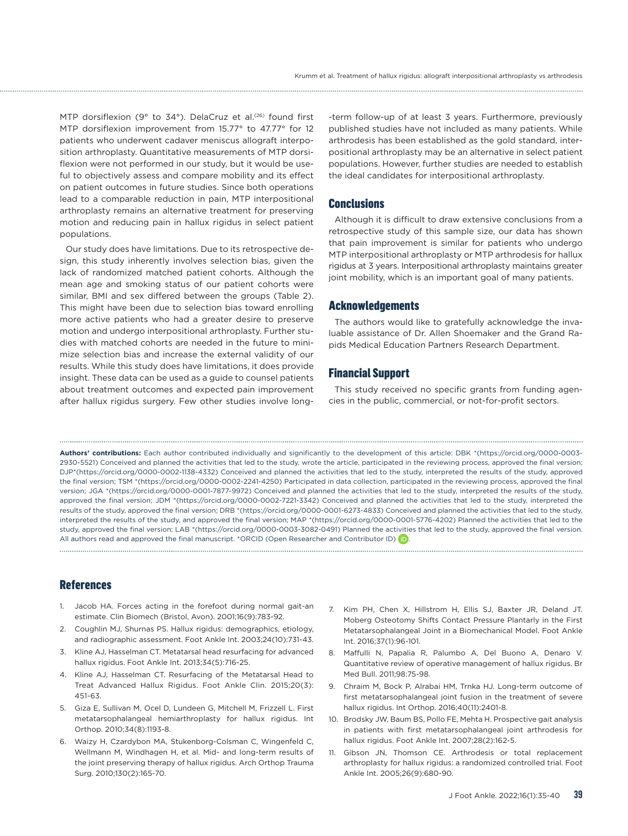MTP dorsiflexion (9° to 34°). DelaCruz et al.<sup>(26)</sup> found first MTP dorsiflexion improvement from 15.77° to 47.77° for 12 patients who underwent cadaver meniscus allograft interposition arthroplasty. Quantitative measurements of MTP dorsiflexion were not performed in our study, but it would be useful to objectively assess and compare mobility and its effect on patient outcomes in future studies. Since both operations lead to a comparable reduction in pain, MTP interpositional arthroplasty remains an alternative treatment for preserving motion and reducing pain in hallux rigidus in select patient populations.

Our study does have limitations. Due to its retrospective design, this study inherently involves selection bias, given the lack of randomized matched patient cohorts. Although the mean age and smoking status of our patient cohorts were similar, BMI and sex differed between the groups (Table 2). This might have been due to selection bias toward enrolling more active patients who had a greater desire to preserve motion and undergo interpositional arthroplasty. Further studies with matched cohorts are needed in the future to minimize selection bias and increase the external validity of our results. While this study does have limitations, it does provide insight. These data can be used as a guide to counsel patients about treatment outcomes and expected pain improvement after hallux rigidus surgery. Few other studies involve long-term follow-up of at least 3 years. Furthermore, previously published studies have not included as many patients. While arthrodesis has been established as the gold standard, interpositional arthroplasty may be an alternative in select patient populations. However, further studies are needed to establish the ideal candidates for interpositional arthroplasty.

#### **Conclusions**

Although it is difficult to draw extensive conclusions from a retrospective study of this sample size, our data has shown that pain improvement is similar for patients who undergo MTP interpositional arthroplasty or MTP arthrodesis for hallux rigidus at 3 years. Interpositional arthroplasty maintains greater joint mobility, which is an important goal of many patients.

#### Acknowledgements

The authors would like to gratefully acknowledge the invaluable assistance of Dr. Allen Shoemaker and the Grand Rapids Medical Education Partners Research Department.

### Financial Support

This study received no specific grants from funding agencies in the public, commercial, or not-for-profit sectors.

**Authors' contributions:** Each author contributed individually and significantly to the development of this article: DBK \*(https://orcid.org/0000-0003- 2930-5521) Conceived and planned the activities that led to the study, wrote the article, participated in the reviewing process, approved the final version; DJP\*[\(https://orcid.org/0000-0002-1138-4332](https://orcid.org/0000-0002-1138-4332)) Conceived and planned the activities that led to the study, interpreted the results of the study, approved the final version; TSM \*([https://orcid.org/0000-0002-2241-4250\)](https://orcid.org/0000-0002-2241-4250) Participated in data collection, participated in the reviewing process, approved the final version; JGA \*(https://orcid.org/0000-0001-7877-9972) Conceived and planned the activities that led to the study, interpreted the results of the study, approved the final version; JDM \*[\(https://orcid.org/0000-0002-7221-3342](https://orcid.org/0000-0002-7221-3342)) Conceived and planned the activities that led to the study, interpreted the results of the study, approved the final version; DRB \*[\(https://orcid.org/0000-0001-6273-4833](https://orcid.org/0000-0001-6273-4833)) Conceived and planned the activities that led to the study, interpreted the results of the study, and approved the final version; MAP \*([https://orcid.org/0000-0001-5776-4202\)](https://orcid.org/0000-0001-5776-4202) Planned the activities that led to the study, approved the final version; LAB \*(<https://orcid.org/0000-0003-3082-0491>) Planned the activities that led to the study, approved the final version. All authors read and approved the final manuscript. \*ORCID (Open Researcher and Contributor ID) **D** 

#### References

- 1. Jacob HA. Forces acting in the forefoot during normal gait-an estimate. Clin Biomech (Bristol, Avon). 2001;16(9):783-92.
- 2. Coughlin MJ, Shurnas PS. Hallux rigidus: demographics, etiology, and radiographic assessment. Foot Ankle Int. 2003;24(10):731-43.
- 3. Kline AJ, Hasselman CT. Metatarsal head resurfacing for advanced hallux rigidus. Foot Ankle Int. 2013;34(5):716-25.
- 4. Kline AJ, Hasselman CT. Resurfacing of the Metatarsal Head to Treat Advanced Hallux Rigidus. Foot Ankle Clin. 2015;20(3): 451-63.
- 5. Giza E, Sullivan M, Ocel D, Lundeen G, Mitchell M, Frizzell L. First metatarsophalangeal hemiarthroplasty for hallux rigidus. Int Orthop. 2010;34(8):1193-8.
- 6. Waizy H, Czardybon MA, Stukenborg-Colsman C, Wingenfeld C, Wellmann M, Windhagen H, et al. Mid- and long-term results of the joint preserving therapy of hallux rigidus. Arch Orthop Trauma Surg. 2010;130(2):165-70.
- 7. Kim PH, Chen X, Hillstrom H, Ellis SJ, Baxter JR, Deland JT. Moberg Osteotomy Shifts Contact Pressure Plantarly in the First Metatarsophalangeal Joint in a Biomechanical Model. Foot Ankle Int. 2016;37(1):96-101.
- 8. Maffulli N, Papalia R, Palumbo A, Del Buono A, Denaro V. Quantitative review of operative management of hallux rigidus. Br Med Bull. 2011;98:75-98.
- 9. Chraim M, Bock P, Alrabai HM, Trnka HJ. Long-term outcome of first metatarsophalangeal joint fusion in the treatment of severe hallux rigidus. Int Orthop. 2016;40(11):2401-8.
- 10. Brodsky JW, Baum BS, Pollo FE, Mehta H. Prospective gait analysis in patients with first metatarsophalangeal joint arthrodesis for hallux rigidus. Foot Ankle Int. 2007;28(2):162-5.
- 11. Gibson JN, Thomson CE. Arthrodesis or total replacement arthroplasty for hallux rigidus: a randomized controlled trial. Foot Ankle Int. 2005;26(9):680-90.